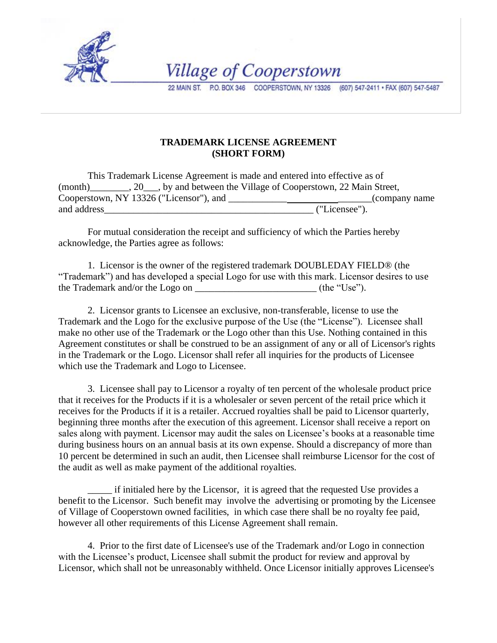

**Village of Cooperstown** 

22 MAIN ST. P.O. BOX 346 COOPERSTOWN, NY 13326 (607) 547-2411 · FAX (607) 547-5487

## **TRADEMARK LICENSE AGREEMENT (SHORT FORM)**

This Trademark License Agreement is made and entered into effective as of (month)\_\_\_\_\_\_\_\_, 20\_\_\_, by and between the Village of Cooperstown, 22 Main Street, Cooperstown, NY 13326 ("Licensor"), and \_\_\_\_\_\_\_\_\_\_\_\_\_\_\_\_\_\_\_\_\_\_\_(company name and address ("Licensee"). and address

 For mutual consideration the receipt and sufficiency of which the Parties hereby acknowledge, the Parties agree as follows:

1. Licensor is the owner of the registered trademark DOUBLEDAY FIELD® (the "Trademark") and has developed a special Logo for use with this mark. Licensor desires to use the Trademark and/or the Logo on \_\_\_\_\_\_\_\_\_\_\_\_\_\_\_\_\_\_\_\_\_\_\_\_\_ (the "Use").

2. Licensor grants to Licensee an exclusive, non-transferable, license to use the Trademark and the Logo for the exclusive purpose of the Use (the "License"). Licensee shall make no other use of the Trademark or the Logo other than this Use. Nothing contained in this Agreement constitutes or shall be construed to be an assignment of any or all of Licensor's rights in the Trademark or the Logo. Licensor shall refer all inquiries for the products of Licensee which use the Trademark and Logo to Licensee.

3. Licensee shall pay to Licensor a royalty of ten percent of the wholesale product price that it receives for the Products if it is a wholesaler or seven percent of the retail price which it receives for the Products if it is a retailer. Accrued royalties shall be paid to Licensor quarterly, beginning three months after the execution of this agreement. Licensor shall receive a report on sales along with payment. Licensor may audit the sales on Licensee's books at a reasonable time during business hours on an annual basis at its own expense. Should a discrepancy of more than 10 percent be determined in such an audit, then Licensee shall reimburse Licensor for the cost of the audit as well as make payment of the additional royalties.

\_\_\_\_\_ if initialed here by the Licensor, it is agreed that the requested Use provides a benefit to the Licensor. Such benefit may involve the advertising or promoting by the Licensee of Village of Cooperstown owned facilities, in which case there shall be no royalty fee paid, however all other requirements of this License Agreement shall remain.

4. Prior to the first date of Licensee's use of the Trademark and/or Logo in connection with the Licensee's product, Licensee shall submit the product for review and approval by Licensor, which shall not be unreasonably withheld. Once Licensor initially approves Licensee's